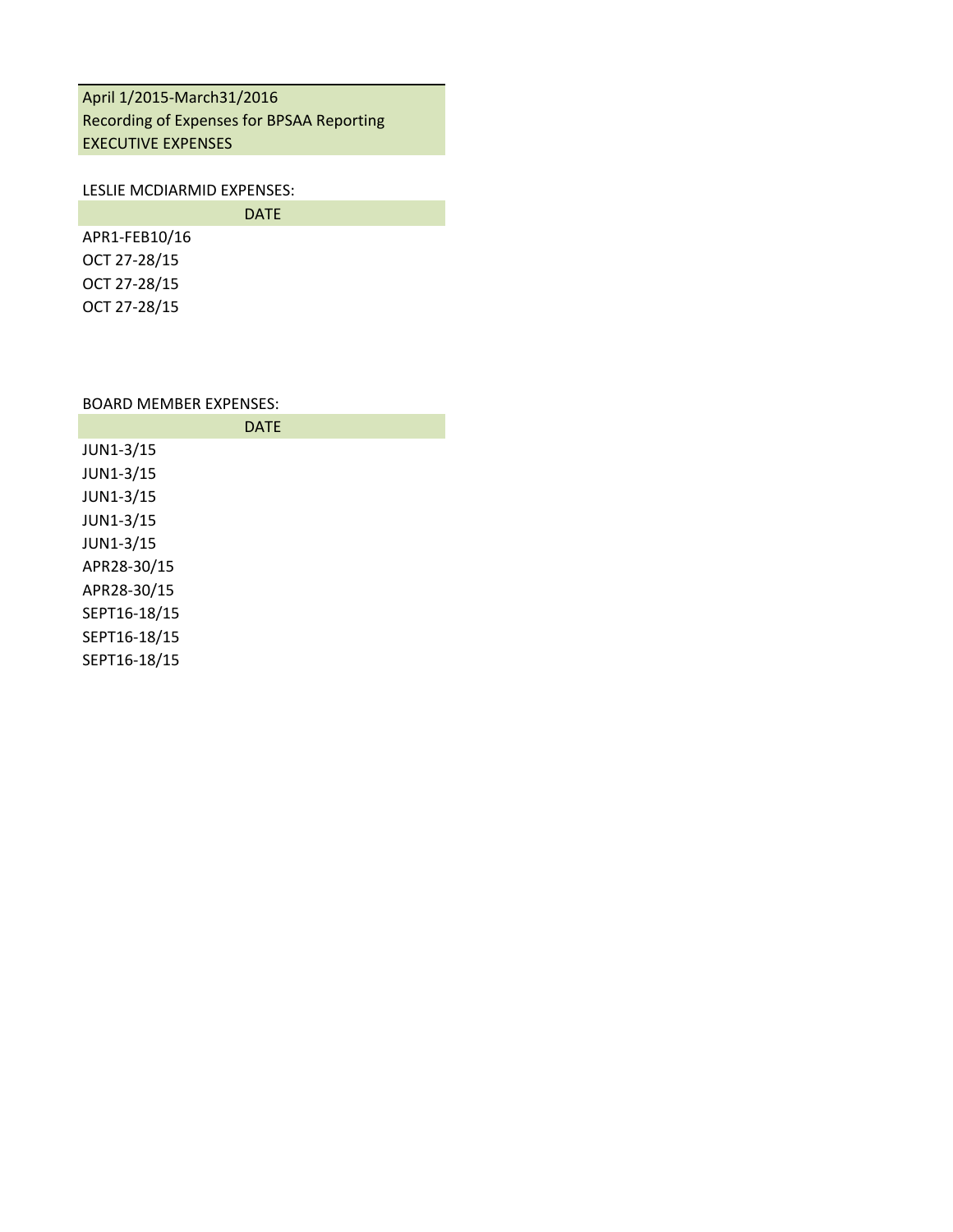## April 1/2015-March31/2016 Recording of Expenses for BPSAA Reporting EXECUTIVE EXPENSES

#### LESLIE MCDIARMID EXPENSES:

|               | <b>DATE</b> |
|---------------|-------------|
| APR1-FEB10/16 |             |
| OCT 27-28/15  |             |
| OCT 27-28/15  |             |
| OCT 27-28/15  |             |

## BOARD MEMBER EXPENSES:

|              | <b>DATE</b> |  |
|--------------|-------------|--|
| JUN1-3/15    |             |  |
| JUN1-3/15    |             |  |
| JUN1-3/15    |             |  |
| JUN1-3/15    |             |  |
| JUN1-3/15    |             |  |
| APR28-30/15  |             |  |
| APR28-30/15  |             |  |
| SEPT16-18/15 |             |  |
| SEPT16-18/15 |             |  |
|              |             |  |

SEPT16-18/15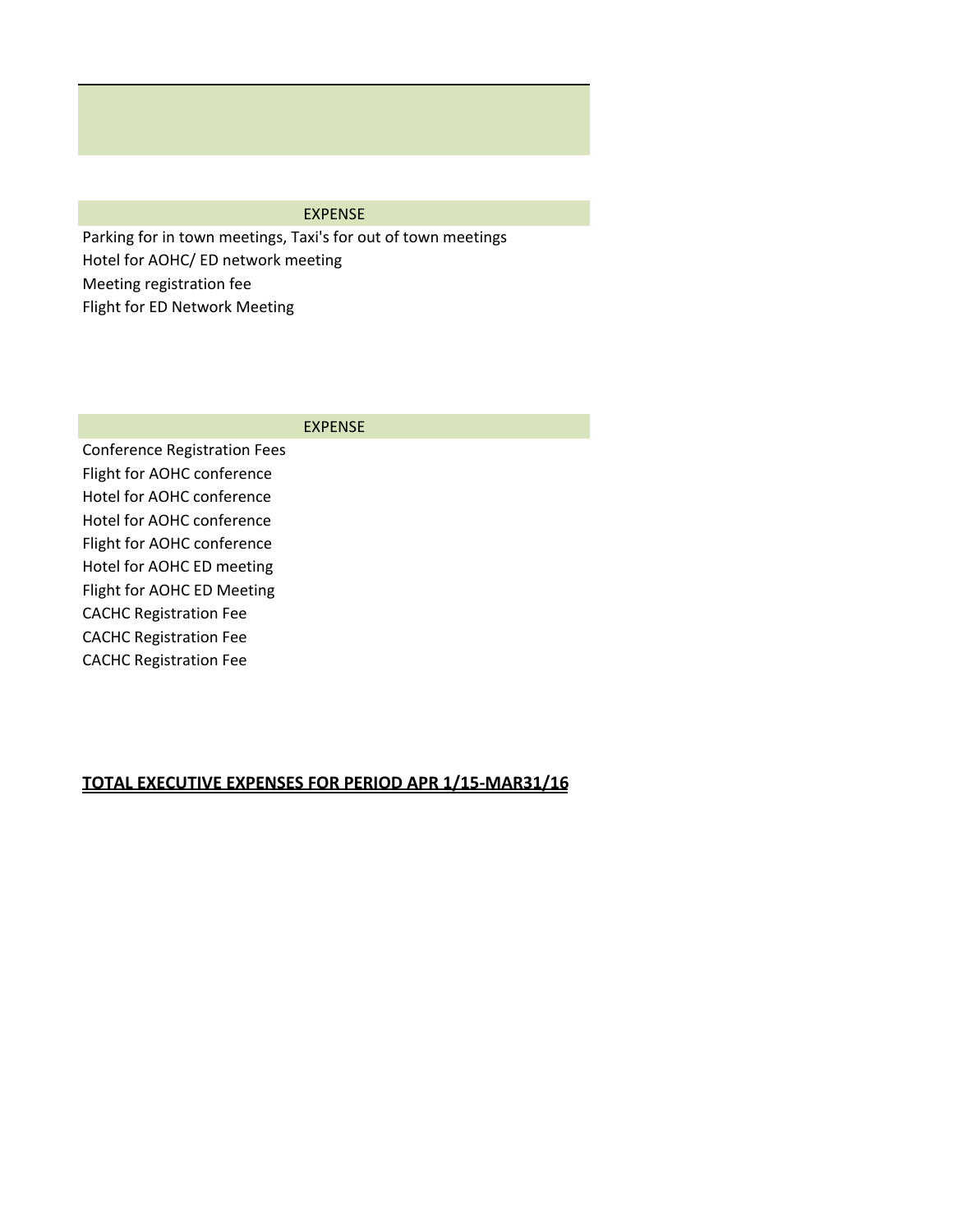#### EXPENSE

Parking for in town meetings, Taxi's for out of town meetings Hotel for AOHC/ ED network meeting Meeting registration fee Flight for ED Network Meeting

#### EXPENSE

Conference Registration Fees Flight for AOHC conference Hotel for AOHC conference Hotel for AOHC conference Flight for AOHC conference Hotel for AOHC ED meeting Flight for AOHC ED Meeting CACHC Registration Fee CACHC Registration Fee CACHC Registration Fee

# **TOTAL EXECUTIVE EXPENSES FOR PERIOD APR 1/15-MAR31/16**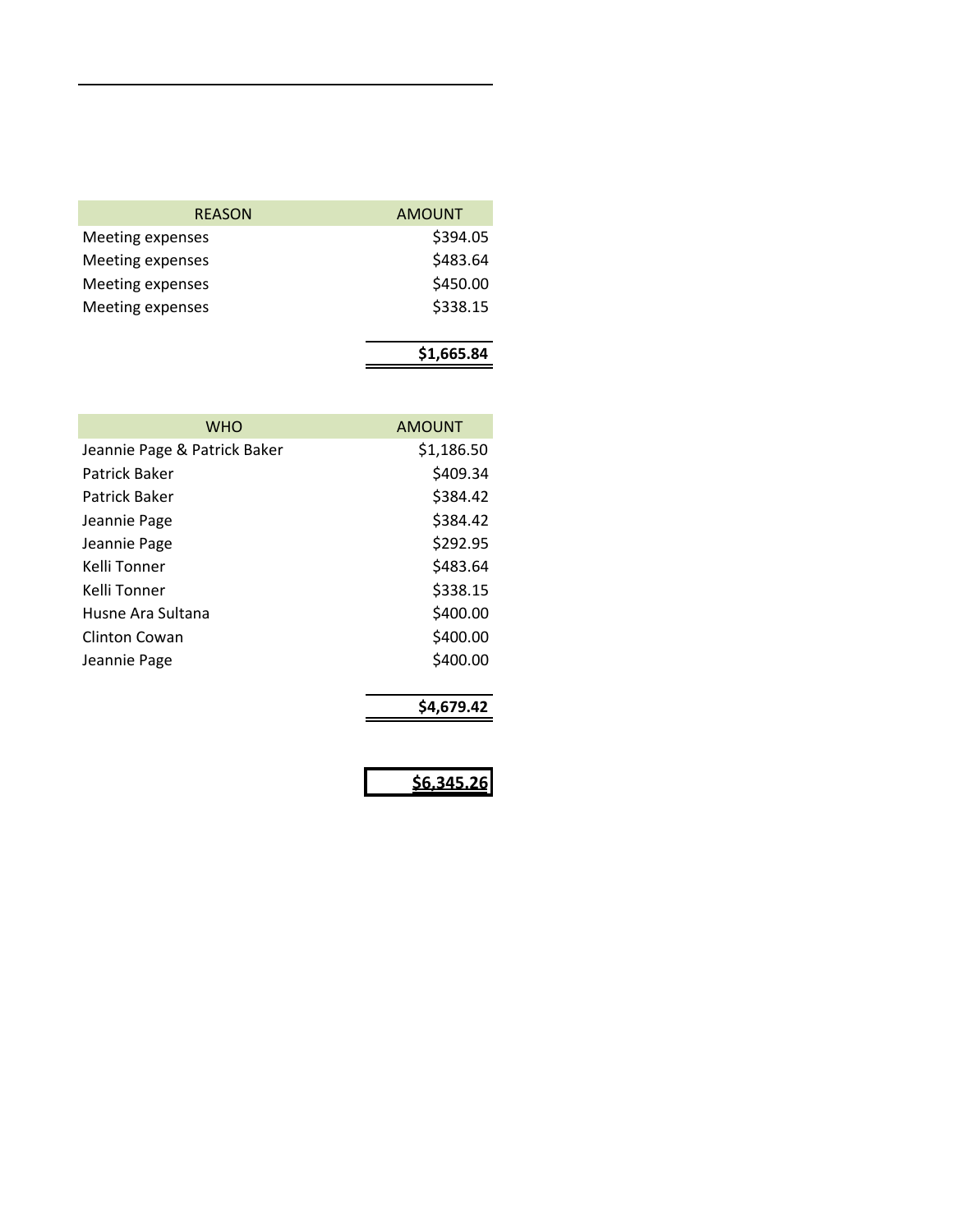| <b>REASON</b>    | <b>AMOUNT</b> |
|------------------|---------------|
| Meeting expenses | \$394.05      |
| Meeting expenses | \$483.64      |
| Meeting expenses | \$450.00      |
| Meeting expenses | \$338.15      |
|                  |               |

|--|

| <b>WHO</b>                   | AMOUNT     |
|------------------------------|------------|
| Jeannie Page & Patrick Baker | \$1,186.50 |
| Patrick Baker                | \$409.34   |
| Patrick Baker                | \$384.42   |
| Jeannie Page                 | \$384.42   |
| Jeannie Page                 | \$292.95   |
| Kelli Tonner                 | \$483.64   |
| Kelli Tonner                 | \$338.15   |
| Husne Ara Sultana            | \$400.00   |
| Clinton Cowan                | \$400.00   |
| Jeannie Page                 | \$400.00   |
|                              | \$4.679.42 |

**\$6,345.26**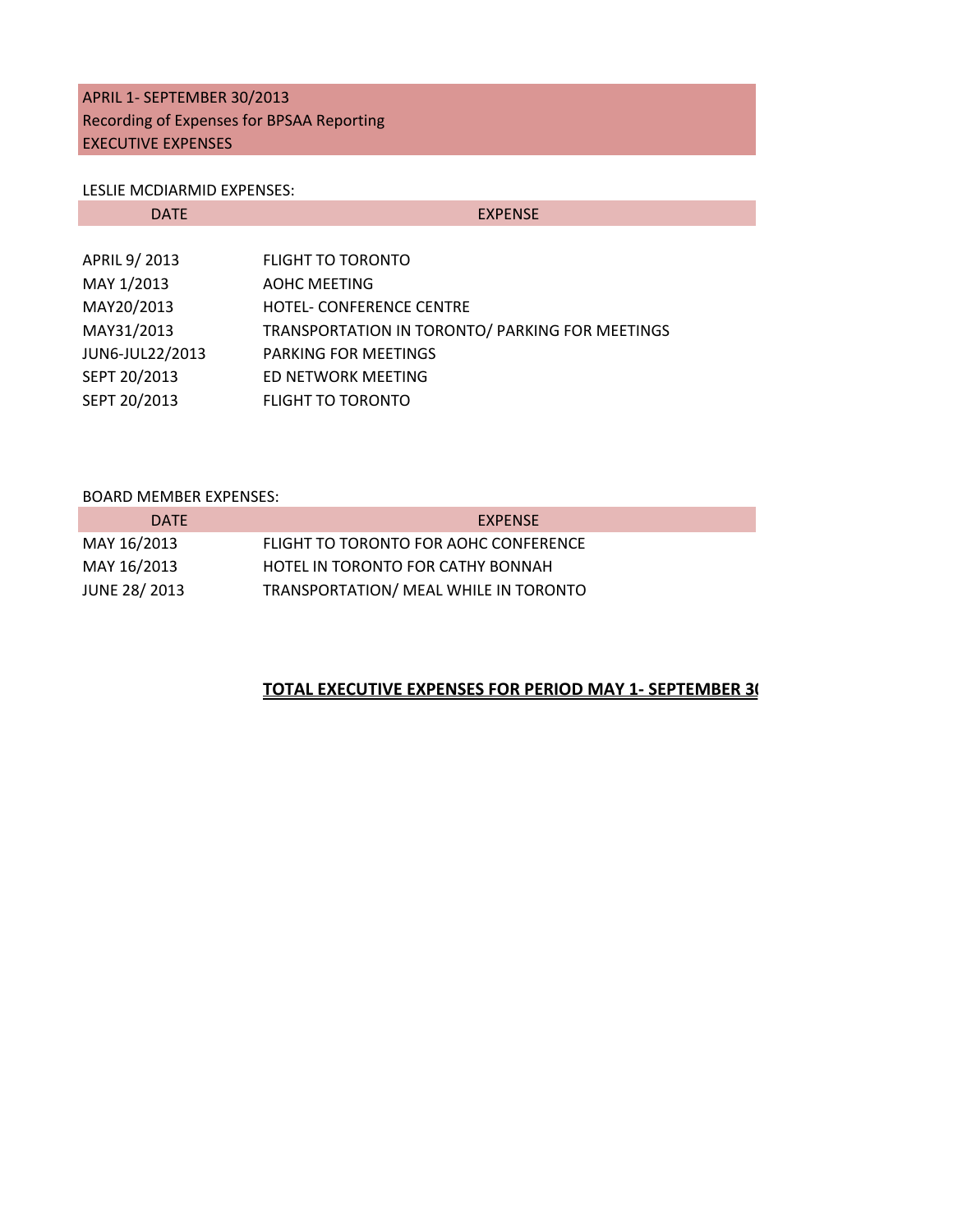## APRIL 1- SEPTEMBER 30/2013 Recording of Expenses for BPSAA Reporting EXECUTIVE EXPENSES

#### LESLIE MCDIARMID EXPENSES:

| <b>DATE</b>     | <b>EXPENSE</b>                                  |
|-----------------|-------------------------------------------------|
|                 |                                                 |
| APRIL 9/2013    | <b>FLIGHT TO TORONTO</b>                        |
| MAY 1/2013      | <b>AOHC MEETING</b>                             |
| MAY20/2013      | <b>HOTEL- CONFERENCE CENTRE</b>                 |
| MAY31/2013      | TRANSPORTATION IN TORONTO/ PARKING FOR MEETINGS |
| JUN6-JUL22/2013 | <b>PARKING FOR MEETINGS</b>                     |
| SEPT 20/2013    | ED NETWORK MEETING                              |
| SEPT 20/2013    | <b>FLIGHT TO TORONTO</b>                        |

#### BOARD MEMBER EXPENSES:

| <b>DATE</b>         | <b>EXPENSE</b>                        |
|---------------------|---------------------------------------|
| MAY 16/2013         | FLIGHT TO TORONTO FOR AOHC CONFERENCE |
| MAY 16/2013         | HOTEL IN TORONTO FOR CATHY BONNAH     |
| <b>JUNE 28/2013</b> | TRANSPORTATION/ MEAL WHILE IN TORONTO |

## **TOTAL EXECUTIVE EXPENSES FOR PERIOD MAY 1- SEPTEMBER 30**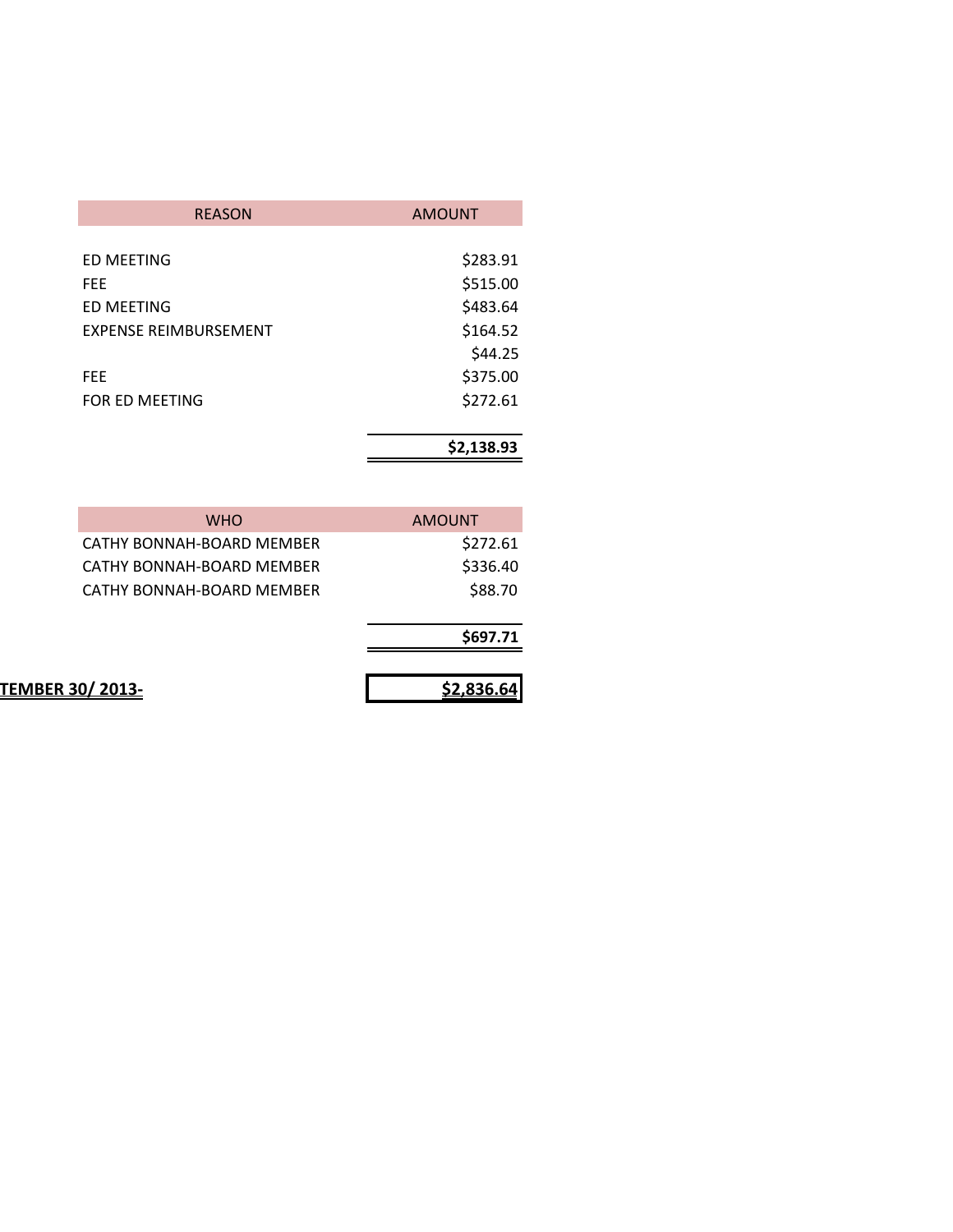| <b>REASON</b>                | <b>AMOUNT</b> |
|------------------------------|---------------|
|                              |               |
| ED MEETING                   | \$283.91      |
| FFF                          | \$515.00      |
| ED MEETING                   | \$483.64      |
| <b>EXPENSE REIMBURSEMENT</b> | \$164.52      |
|                              | \$44.25       |
| <b>FEE</b>                   | \$375.00      |
| FOR ED MEETING               | \$272.61      |
|                              |               |
|                              | \$2,138.93    |

| \$2,836.64    | <b>TEMBER 30/2013-</b>    |
|---------------|---------------------------|
| \$697.71      |                           |
| \$88.70       | CATHY BONNAH-BOARD MEMBER |
| \$336.40      | CATHY BONNAH-BOARD MEMBER |
| \$272.61      | CATHY BONNAH-BOARD MEMBER |
| <b>AMOUNT</b> | <b>WHO</b>                |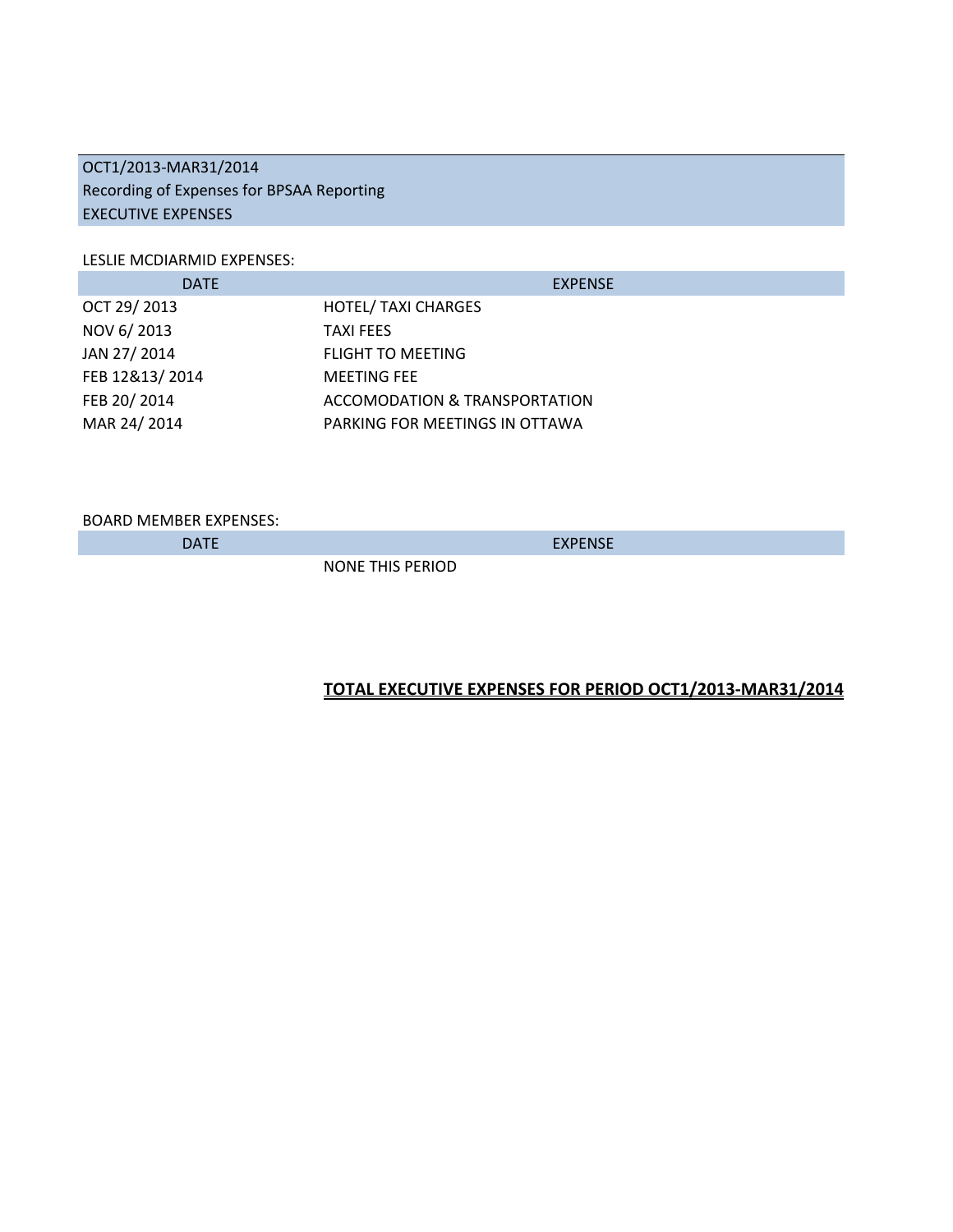## OCT1/2013-MAR31/2014 Recording of Expenses for BPSAA Reporting EXECUTIVE EXPENSES

#### LESLIE MCDIARMID EXPENSES:

| <b>DATE</b>    | <b>EXPENSE</b>                           |
|----------------|------------------------------------------|
| OCT 29/2013    | <b>HOTEL/ TAXI CHARGES</b>               |
| NOV 6/2013     | <b>TAXI FEES</b>                         |
| JAN 27/2014    | <b>FLIGHT TO MEETING</b>                 |
| FEB 12&13/2014 | <b>MEETING FEE</b>                       |
| FEB 20/2014    | <b>ACCOMODATION &amp; TRANSPORTATION</b> |
| MAR 24/2014    | PARKING FOR MEETINGS IN OTTAWA           |

BOARD MEMBER EXPENSES:

DATE EXPENSE

**NONE THIS PERIOD** 

## **TOTAL EXECUTIVE EXPENSES FOR PERIOD OCT1/2013-MAR31/2014**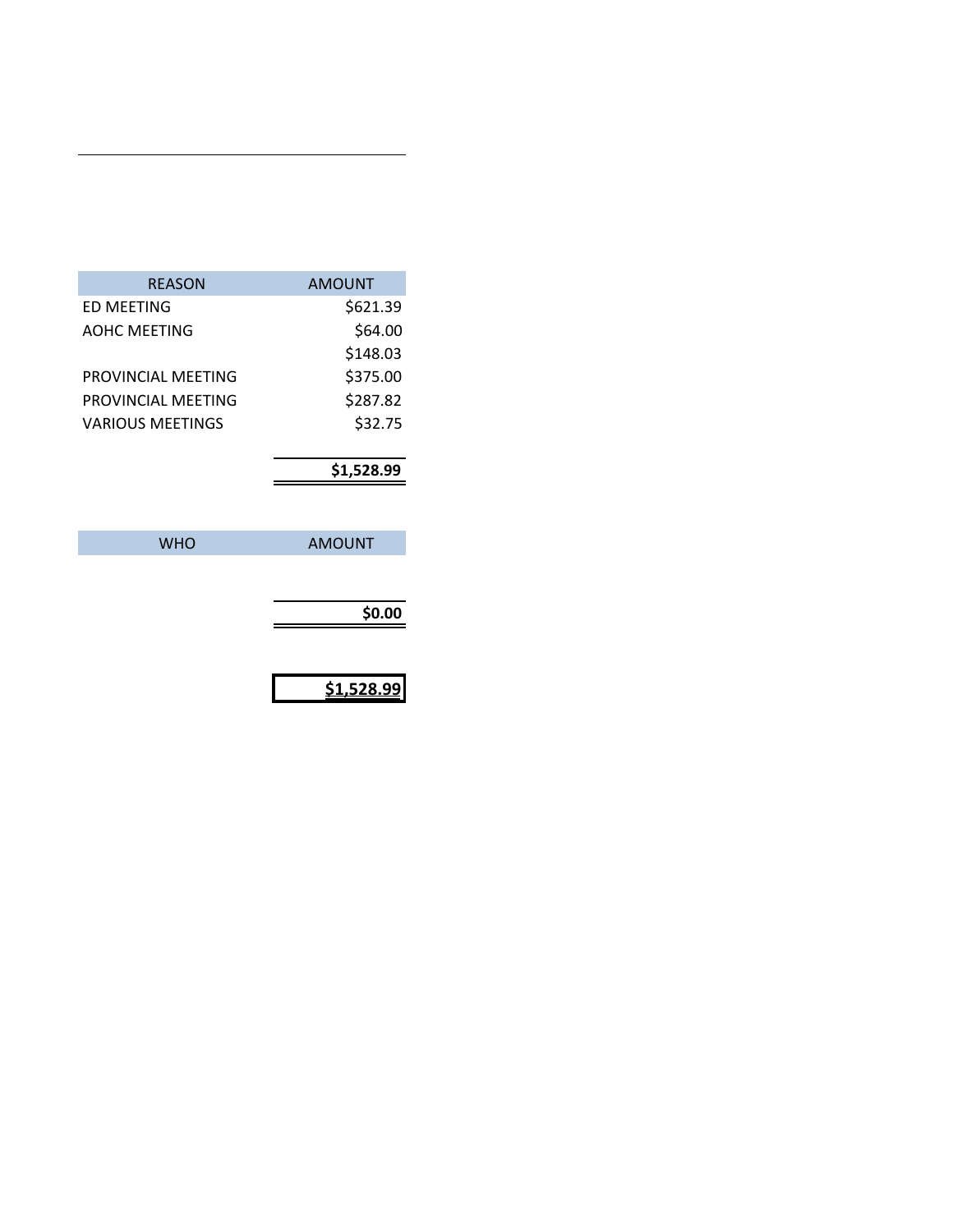| <b>REASON</b>      | <b>AMOUNT</b> |
|--------------------|---------------|
| <b>ED MEETING</b>  | \$621.39      |
| AOHC MEETING       | \$64.00       |
|                    | \$148.03      |
| PROVINCIAL MEETING | \$375.00      |
| PROVINCIAL MEETING | \$287.82      |
| VARIOUS MEETINGS   | \$32.75       |
|                    |               |
|                    | \$1,528.99    |
|                    |               |
| WHO                | AMOUNT        |

| \$0.00 |
|--------|
|        |

| S1.528.99 |  |
|-----------|--|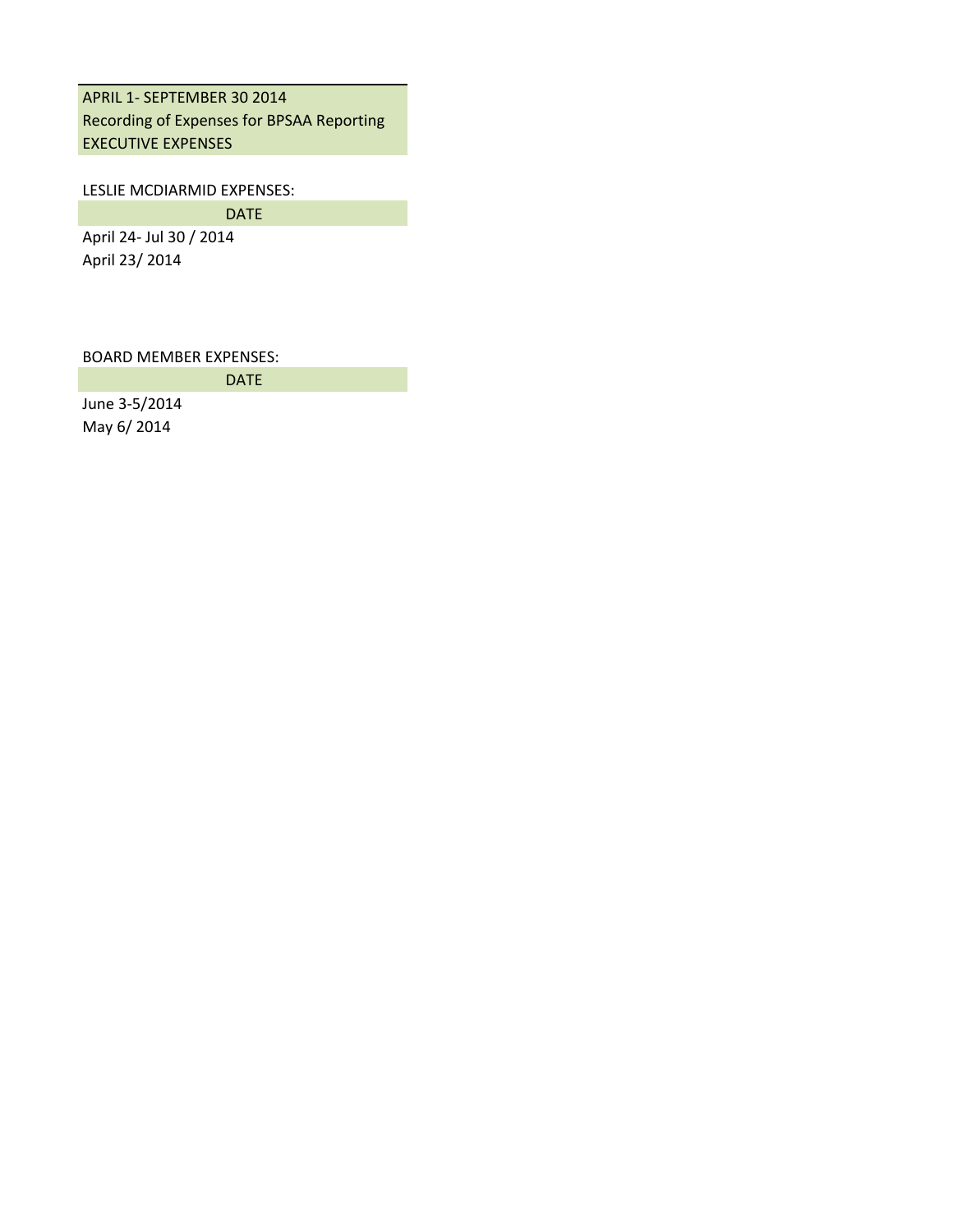## APRIL 1- SEPTEMBER 30 2014 Recording of Expenses for BPSAA Reporting EXECUTIVE EXPENSES

#### LESLIE MCDIARMID EXPENSES:

DATE

DATE

April 24- Jul 30 / 2014 April 23/ 2014

BOARD MEMBER EXPENSES:

June 3-5/2014 May 6/ 2014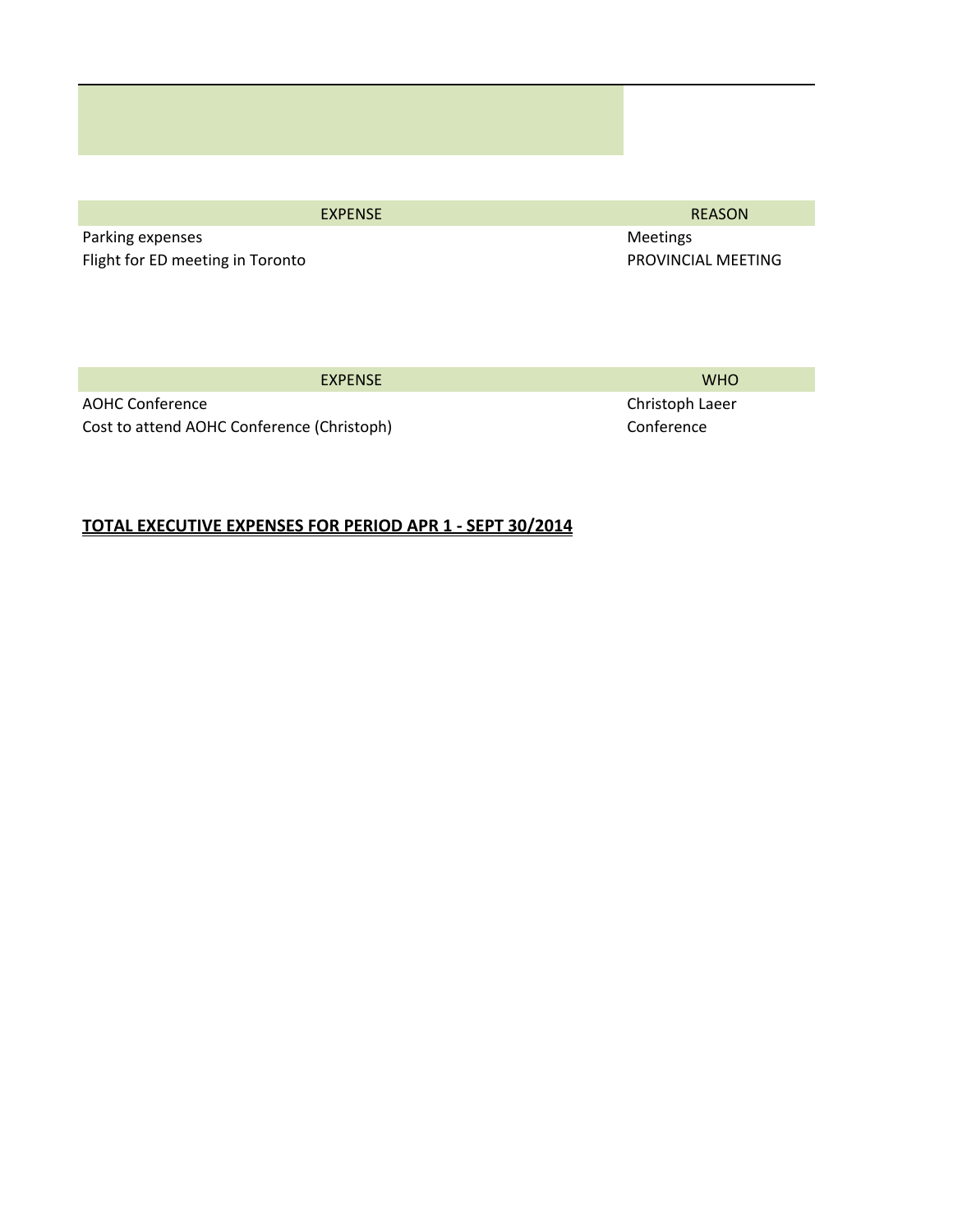Parking expenses and the control of the control of the control of the Meetings Meetings Flight for ED meeting in Toronto **PROVINCIAL MEETING** 

EXPENSE REASON

EXPENSE WHO

AOHC Conference Christoph Laeer Christoph Laeer Christoph Laeer Cost to attend AOHC Conference (Christoph) Conference Conference

## **TOTAL EXECUTIVE EXPENSES FOR PERIOD APR 1 - SEPT 30/2014**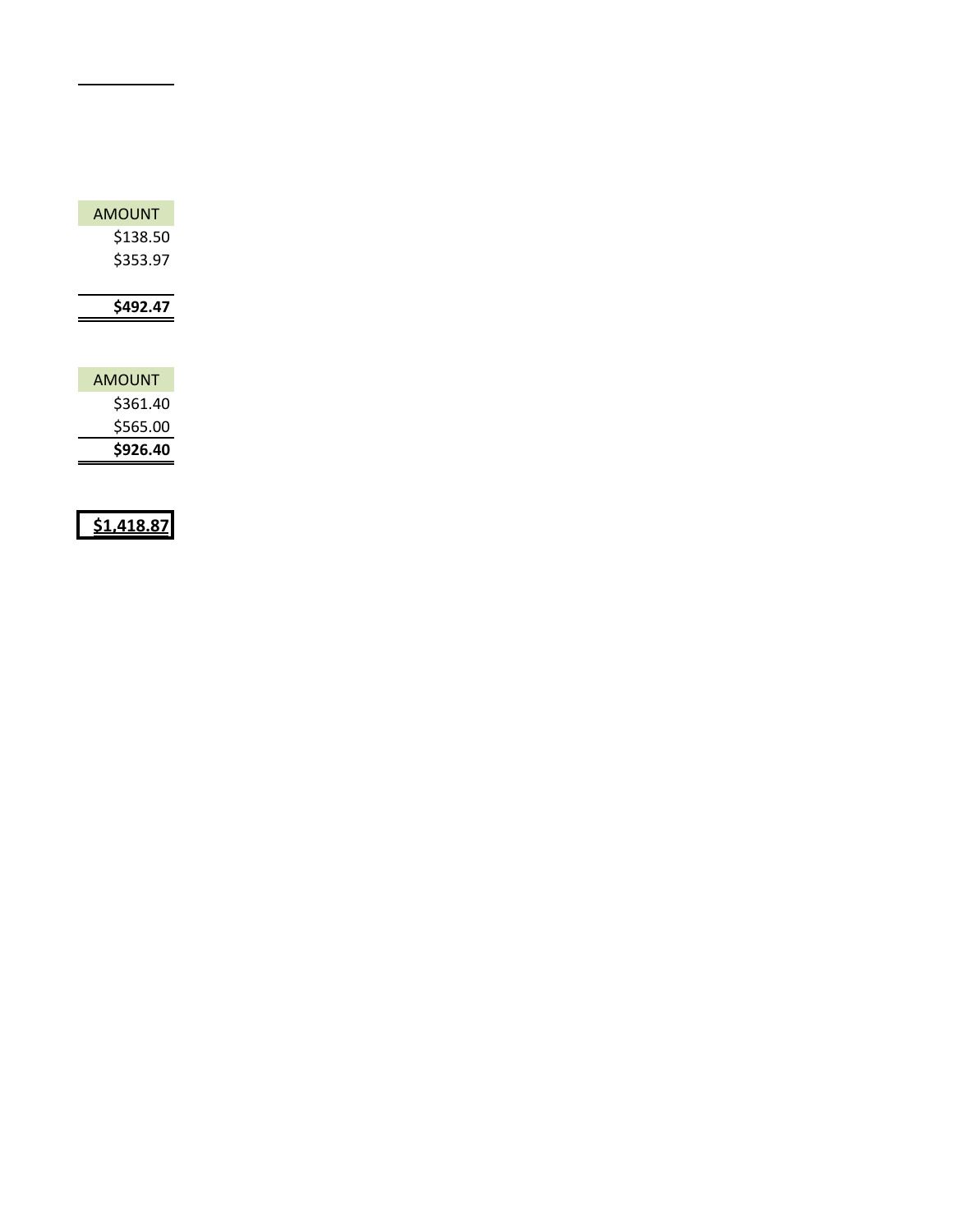| <b>AMOUNT</b> |  |  |
|---------------|--|--|
| \$138.50      |  |  |
| \$353.97      |  |  |
|               |  |  |
| \$492.47      |  |  |
|               |  |  |
| <b>AMOUNT</b> |  |  |
| \$361.40      |  |  |
| \$565.00      |  |  |
|               |  |  |

**\$1,418.87**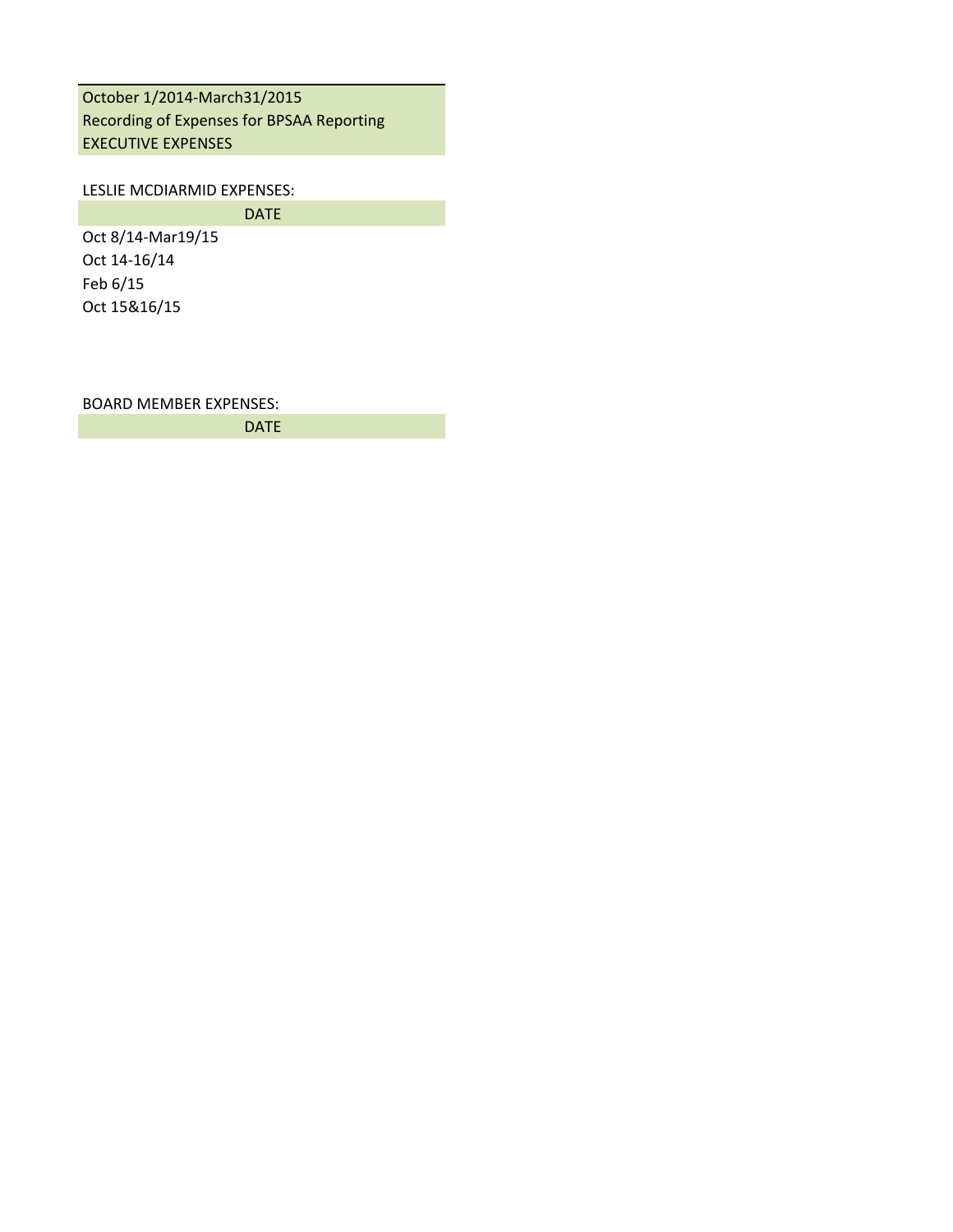October 1/2014-March31/2015 Recording of Expenses for BPSAA Reporting EXECUTIVE EXPENSES

LESLIE MCDIARMID EXPENSES:

DATE

Oct 8/14-Mar19/15 Oct 14-16/14 Feb 6/15 Oct 15&16/15

BOARD MEMBER EXPENSES:

DATE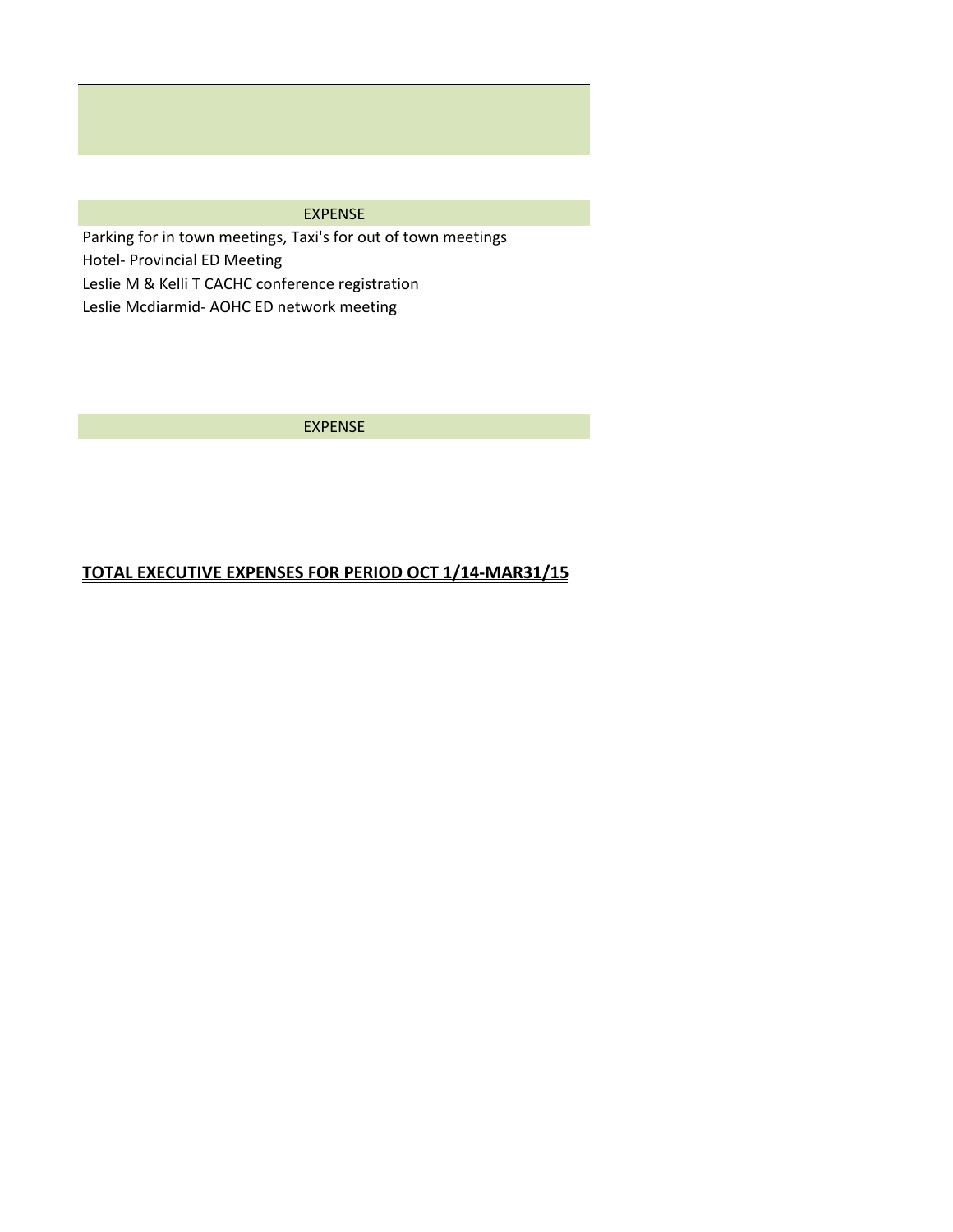### EXPENSE

Parking for in town meetings, Taxi's for out of town meetings Hotel- Provincial ED Meeting Leslie M & Kelli T CACHC conference registration Leslie Mcdiarmid- AOHC ED network meeting

EXPENSE

## **TOTAL EXECUTIVE EXPENSES FOR PERIOD OCT 1/14-MAR31/15**